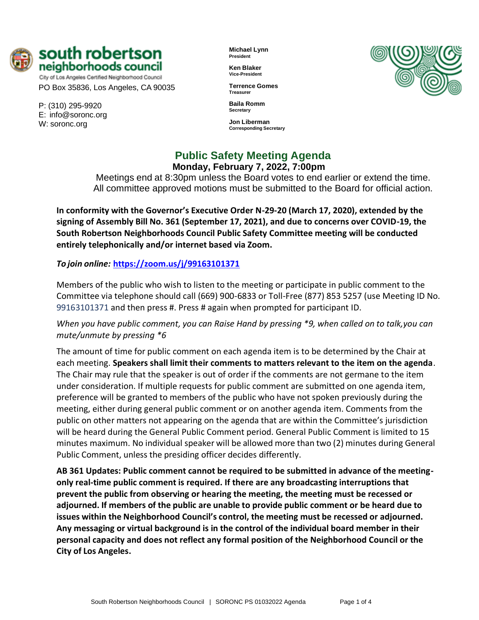

City of Los Angeles Certified Neighborhood Council PO Box 35836, Los Angeles, CA 90035

P: (310) 295-9920 E: [info@soronc.org](mailto:info@soronc.org) W: soronc.org

**Michael Lynn President**

**Ken Blaker Vice-President**

**Terrence Gomes Treasurer**

**Baila Romm Secretary**

**Jon Liberman Corresponding Secretary**



# **Public Safety Meeting Agenda Monday, February 7, 2022, 7:00pm**

Meetings end at 8:30pm unless the Board votes to end earlier or extend the time. All committee approved motions must be submitted to the Board for official action.

**In conformity with the Governor's Executive Order N-29-20 (March 17, 2020), extended by the signing of Assembly Bill No. 361 (September 17, 2021), and due to concerns over COVID-19, the South Robertson Neighborhoods Council Public Safety Committee meeting will be conducted entirely telephonically and/or internet based via Zoom.**

# *To join online:* **<https://zoom.us/j/99163101371>**

Members of the public who wish to listen to the meeting or participate in public comment to the Committee via telephone should call (669) 900-6833 or Toll-Free (877) 853 5257 (use Meeting ID No. 99163101371 and then press #. Press # again when prompted for participant ID.

*When you have public comment, you can Raise Hand by pressing \*9, when called on to talk,you can mute/unmute by pressing \*6*

The amount of time for public comment on each agenda item is to be determined by the Chair at each meeting. **Speakers shall limit their comments to matters relevant to the item on the agenda**. The Chair may rule that the speaker is out of order if the comments are not germane to the item under consideration. If multiple requests for public comment are submitted on one agenda item, preference will be granted to members of the public who have not spoken previously during the meeting, either during general public comment or on another agenda item. Comments from the public on other matters not appearing on the agenda that are within the Committee's jurisdiction will be heard during the General Public Comment period. General Public Comment is limited to 15 minutes maximum. No individual speaker will be allowed more than two (2) minutes during General Public Comment, unless the presiding officer decides differently.

**AB 361 Updates: Public comment cannot be required to be submitted in advance of the meetingonly real-time public comment is required. If there are any broadcasting interruptions that prevent the public from observing or hearing the meeting, the meeting must be recessed or adjourned. If members of the public are unable to provide public comment or be heard due to issues within the Neighborhood Council's control, the meeting must be recessed or adjourned. Any messaging or virtual background is in the control of the individual board member in their personal capacity and does not reflect any formal position of the Neighborhood Council or the City of Los Angeles.**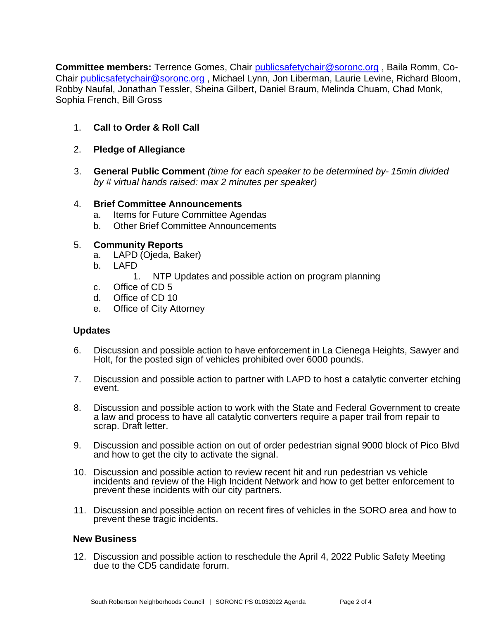**Committee members:** Terrence Gomes, Chair [publicsafetychair@soronc.org](mailto:publicsafetychair@soronc.org) , Baila Romm, Co-Chair [publicsafetychair@soronc.org](mailto:publicsafetychair@soronc.org) , Michael Lynn, Jon Liberman, Laurie Levine, Richard Bloom, Robby Naufal, Jonathan Tessler, Sheina Gilbert, Daniel Braum, Melinda Chuam, Chad Monk, Sophia French, Bill Gross

- 1. **Call to Order & Roll Call**
- 2. **Pledge of Allegiance**
- 3. **General Public Comment** *(time for each speaker to be determined by- 15min divided by # virtual hands raised: max 2 minutes per speaker)*

### 4. **Brief Committee Announcements**

- a. Items for Future Committee Agendas
- b. Other Brief Committee Announcements

## 5. **Community Reports**

- a. LAPD (Ojeda, Baker)
- b. LAFD
	- 1. NTP Updates and possible action on program planning
- c. Office of CD 5
- d. Office of CD 10
- e. Office of City Attorney

#### **Updates**

- 6. Discussion and possible action to have enforcement in La Cienega Heights, Sawyer and Holt, for the posted sign of vehicles prohibited over 6000 pounds.
- 7. Discussion and possible action to partner with LAPD to host a catalytic converter etching event.
- 8. Discussion and possible action to work with the State and Federal Government to create a law and process to have all catalytic converters require a paper trail from repair to scrap. Draft letter.
- 9. Discussion and possible action on out of order pedestrian signal 9000 block of Pico Blvd and how to get the city to activate the signal.
- 10. Discussion and possible action to review recent hit and run pedestrian vs vehicle incidents and review of the High Incident Network and how to get better enforcement to prevent these incidents with our city partners.
- 11. Discussion and possible action on recent fires of vehicles in the SORO area and how to prevent these tragic incidents.

#### **New Business**

12. Discussion and possible action to reschedule the April 4, 2022 Public Safety Meeting due to the CD5 candidate forum.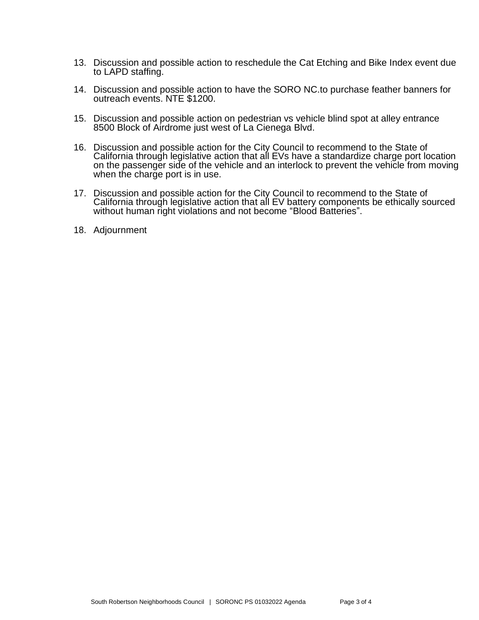- 13. Discussion and possible action to reschedule the Cat Etching and Bike Index event due to LAPD staffing.
- 14. Discussion and possible action to have the SORO NC.to purchase feather banners for outreach events. NTE \$1200.
- 15. Discussion and possible action on pedestrian vs vehicle blind spot at alley entrance 8500 Block of Airdrome just west of La Cienega Blvd.
- 16. Discussion and possible action for the City Council to recommend to the State of California through legislative action that all EVs have a standardize charge port location on the passenger side of the vehicle and an interlock to prevent the vehicle from moving when the charge port is in use.
- 17. Discussion and possible action for the City Council to recommend to the State of California through legislative action that all EV battery components be ethically sourced without human right violations and not become "Blood Batteries".
- 18. Adjournment